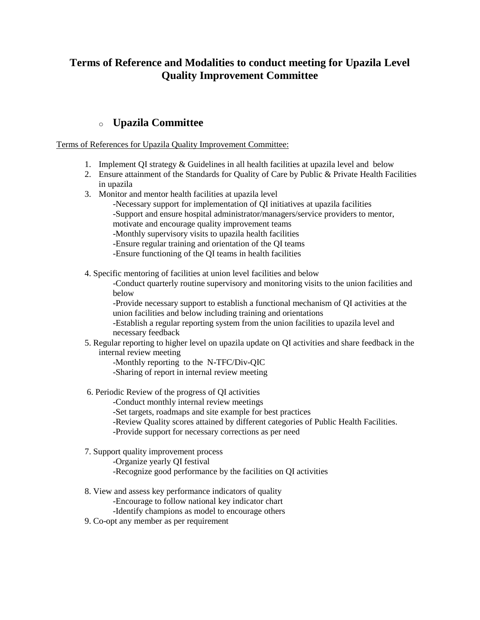## **Terms of Reference and Modalities to conduct meeting for Upazila Level Quality Improvement Committee**

### o **[Upazila Committee](http://qis.gov.bd/pdf/upazila.pdf)**

Terms of References for Upazila Quality Improvement Committee:

- 1. Implement QI strategy & Guidelines in all health facilities at upazila level and below
- 2. Ensure attainment of the Standards for Quality of Care by Public & Private Health Facilities in upazila
- 3. Monitor and mentor health facilities at upazila level
	- -Necessary support for implementation of QI initiatives at upazila facilities -Support and ensure hospital administrator/managers/service providers to mentor, motivate and encourage quality improvement teams
	- -Monthly supervisory visits to upazila health facilities
	- -Ensure regular training and orientation of the QI teams
	- -Ensure functioning of the QI teams in health facilities
- 4. Specific mentoring of facilities at union level facilities and below

-Conduct quarterly routine supervisory and monitoring visits to the union facilities and below

-Provide necessary support to establish a functional mechanism of QI activities at the union facilities and below including training and orientations

-Establish a regular reporting system from the union facilities to upazila level and necessary feedback

5. Regular reporting to higher level on upazila update on QI activities and share feedback in the internal review meeting

-Monthly reporting to the N-TFC/Div-QIC

-Sharing of report in internal review meeting

- 6. Periodic Review of the progress of QI activities
	- -Conduct monthly internal review meetings

-Set targets, roadmaps and site example for best practices

- -Review Quality scores attained by different categories of Public Health Facilities.
- -Provide support for necessary corrections as per need
- 7. Support quality improvement process
	- -Organize yearly QI festival
	- -Recognize good performance by the facilities on QI activities
- 8. View and assess key performance indicators of quality
	- -Encourage to follow national key indicator chart
	- -Identify champions as model to encourage others
- 9. Co-opt any member as per requirement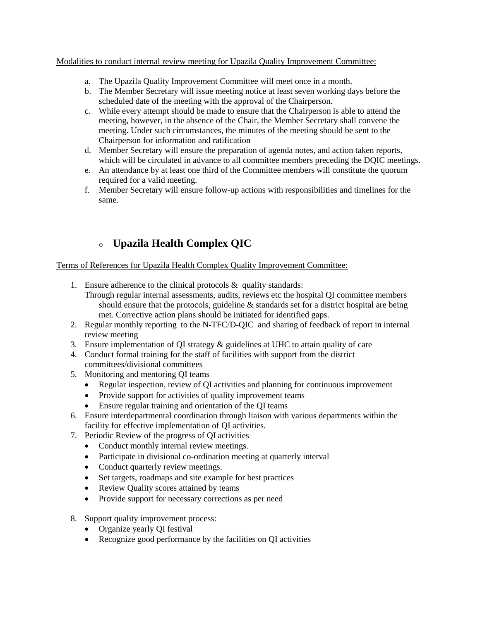#### Modalities to conduct internal review meeting for Upazila Quality Improvement Committee:

- a. The Upazila Quality Improvement Committee will meet once in a month.
- b. The Member Secretary will issue meeting notice at least seven working days before the scheduled date of the meeting with the approval of the Chairperson.
- c. While every attempt should be made to ensure that the Chairperson is able to attend the meeting, however, in the absence of the Chair, the Member Secretary shall convene the meeting. Under such circumstances, the minutes of the meeting should be sent to the Chairperson for information and ratification
- d. Member Secretary will ensure the preparation of agenda notes, and action taken reports, which will be circulated in advance to all committee members preceding the DQIC meetings.
- e. An attendance by at least one third of the Committee members will constitute the quorum required for a valid meeting.
- f. Member Secretary will ensure follow-up actions with responsibilities and timelines for the same.

# o **[Upazila Health Complex QIC](http://qis.gov.bd/pdf/upazilahealth.pdf)**

#### Terms of References for Upazila Health Complex Quality Improvement Committee:

- 1. Ensure adherence to the clinical protocols & quality standards:
	- Through regular internal assessments, audits, reviews etc the hospital QI committee members should ensure that the protocols, guideline  $\&$  standards set for a district hospital are being met. Corrective action plans should be initiated for identified gaps.
- 2. Regular monthly reporting to the N-TFC/D-QIC and sharing of feedback of report in internal review meeting
- 3. Ensure implementation of QI strategy & guidelines at UHC to attain quality of care
- 4. Conduct formal training for the staff of facilities with support from the district committees/divisional committees
- 5. Monitoring and mentoring QI teams
	- Regular inspection, review of QI activities and planning for continuous improvement
	- Provide support for activities of quality improvement teams
	- Ensure regular training and orientation of the QI teams
- 6. Ensure interdepartmental coordination through liaison with various departments within the facility for effective implementation of QI activities.
- 7. Periodic Review of the progress of QI activities
	- Conduct monthly internal review meetings.
	- Participate in divisional co-ordination meeting at quarterly interval
	- Conduct quarterly review meetings.
	- Set targets, roadmaps and site example for best practices
	- Review Quality scores attained by teams
	- Provide support for necessary corrections as per need
- 8. Support quality improvement process:
	- Organize yearly QI festival
	- Recognize good performance by the facilities on OI activities